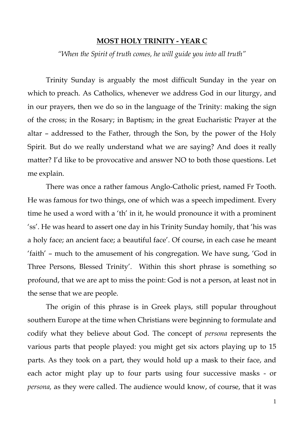## **MOST HOLY TRINITY - YEAR C**

*"When the Spirit of truth comes, he will guide you into all truth"*

Trinity Sunday is arguably the most difficult Sunday in the year on which to preach. As Catholics, whenever we address God in our liturgy, and in our prayers, then we do so in the language of the Trinity: making the sign of the cross; in the Rosary; in Baptism; in the great Eucharistic Prayer at the altar – addressed to the Father, through the Son, by the power of the Holy Spirit. But do we really understand what we are saying? And does it really matter? I'd like to be provocative and answer NO to both those questions. Let me explain.

There was once a rather famous Anglo-Catholic priest, named Fr Tooth. He was famous for two things, one of which was a speech impediment. Every time he used a word with a 'th' in it, he would pronounce it with a prominent 'ss'. He was heard to assert one day in his Trinity Sunday homily, that 'his was a holy face; an ancient face; a beautiful face'. Of course, in each case he meant 'faith' – much to the amusement of his congregation. We have sung, 'God in Three Persons, Blessed Trinity'. Within this short phrase is something so profound, that we are apt to miss the point: God is not a person, at least not in the sense that we are people.

The origin of this phrase is in Greek plays, still popular throughout southern Europe at the time when Christians were beginning to formulate and codify what they believe about God. The concept of *persona* represents the various parts that people played: you might get six actors playing up to 15 parts. As they took on a part, they would hold up a mask to their face, and each actor might play up to four parts using four successive masks - or *persona,* as they were called. The audience would know, of course, that it was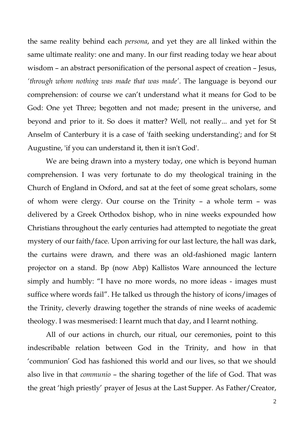the same reality behind each *persona*, and yet they are all linked within the same ultimate reality: one and many. In our first reading today we hear about wisdom – an abstract personification of the personal aspect of creation – Jesus, *'through whom nothing was made that was made'*. The language is beyond our comprehension: of course we can't understand what it means for God to be God: One yet Three; begotten and not made; present in the universe, and beyond and prior to it. So does it matter? Well, not really... and yet for St Anselm of Canterbury it is a case of 'faith seeking understanding'; and for St Augustine, 'if you can understand it, then it isn't God'.

We are being drawn into a mystery today, one which is beyond human comprehension. I was very fortunate to do my theological training in the Church of England in Oxford, and sat at the feet of some great scholars, some of whom were clergy. Our course on the Trinity – a whole term – was delivered by a Greek Orthodox bishop, who in nine weeks expounded how Christians throughout the early centuries had attempted to negotiate the great mystery of our faith/face. Upon arriving for our last lecture, the hall was dark, the curtains were drawn, and there was an old-fashioned magic lantern projector on a stand. Bp (now Abp) Kallistos Ware announced the lecture simply and humbly: "I have no more words, no more ideas - images must suffice where words fail". He talked us through the history of icons/images of the Trinity, cleverly drawing together the strands of nine weeks of academic theology. I was mesmerised: I learnt much that day, and I learnt nothing.

All of our actions in church, our ritual, our ceremonies, point to this indescribable relation between God in the Trinity, and how in that 'communion' God has fashioned this world and our lives, so that we should also live in that *communio* – the sharing together of the life of God. That was the great 'high priestly' prayer of Jesus at the Last Supper. As Father/Creator,